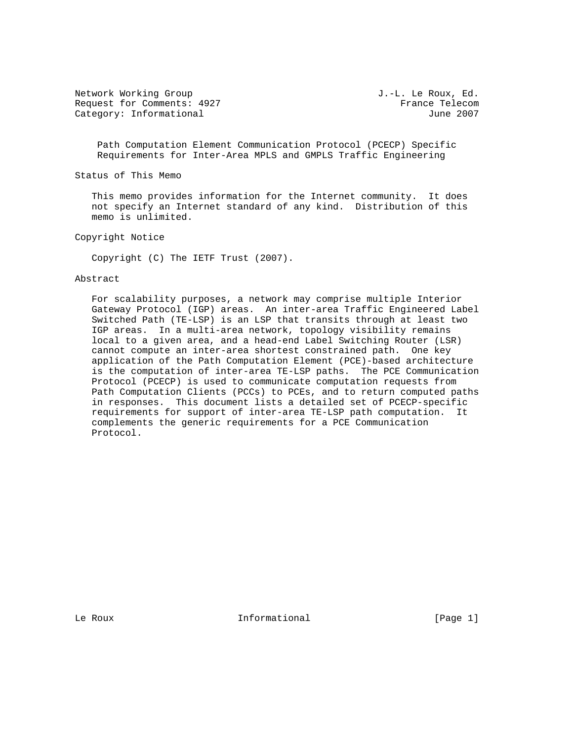Network Working Group  $J.-L.$  Le Roux, Ed. Request for Comments: 4927 France Telecom Category: Informational 3007

 Path Computation Element Communication Protocol (PCECP) Specific Requirements for Inter-Area MPLS and GMPLS Traffic Engineering

Status of This Memo

 This memo provides information for the Internet community. It does not specify an Internet standard of any kind. Distribution of this memo is unlimited.

Copyright Notice

Copyright (C) The IETF Trust (2007).

#### Abstract

 For scalability purposes, a network may comprise multiple Interior Gateway Protocol (IGP) areas. An inter-area Traffic Engineered Label Switched Path (TE-LSP) is an LSP that transits through at least two IGP areas. In a multi-area network, topology visibility remains local to a given area, and a head-end Label Switching Router (LSR) cannot compute an inter-area shortest constrained path. One key application of the Path Computation Element (PCE)-based architecture is the computation of inter-area TE-LSP paths. The PCE Communication Protocol (PCECP) is used to communicate computation requests from Path Computation Clients (PCCs) to PCEs, and to return computed paths in responses. This document lists a detailed set of PCECP-specific requirements for support of inter-area TE-LSP path computation. It complements the generic requirements for a PCE Communication Protocol.

Le Roux **Informational** [Page 1]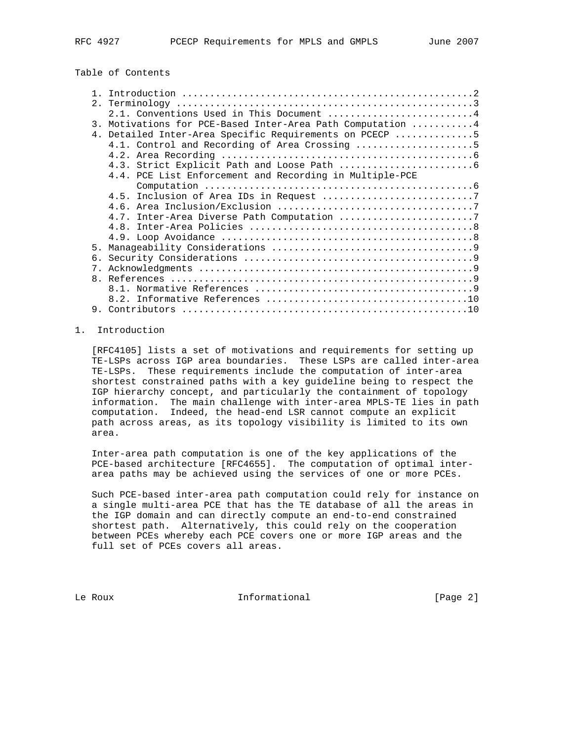# Table of Contents

|                | 2.1. Conventions Used in This Document 4                   |
|----------------|------------------------------------------------------------|
|                | 3. Motivations for PCE-Based Inter-Area Path Computation 4 |
|                | 4. Detailed Inter-Area Specific Requirements on PCECP 5    |
|                | 4.1. Control and Recording of Area Crossing 5              |
|                |                                                            |
|                |                                                            |
|                | 4.4. PCE List Enforcement and Recording in Multiple-PCE    |
|                |                                                            |
|                |                                                            |
|                |                                                            |
|                | 4.7. Inter-Area Diverse Path Computation 7                 |
|                |                                                            |
|                |                                                            |
| 5 <sub>1</sub> |                                                            |
|                |                                                            |
| $7_{\circ}$    |                                                            |
|                |                                                            |
|                |                                                            |
|                |                                                            |
|                |                                                            |
|                |                                                            |

# 1. Introduction

 [RFC4105] lists a set of motivations and requirements for setting up TE-LSPs across IGP area boundaries. These LSPs are called inter-area TE-LSPs. These requirements include the computation of inter-area shortest constrained paths with a key guideline being to respect the IGP hierarchy concept, and particularly the containment of topology information. The main challenge with inter-area MPLS-TE lies in path computation. Indeed, the head-end LSR cannot compute an explicit path across areas, as its topology visibility is limited to its own area.

 Inter-area path computation is one of the key applications of the PCE-based architecture [RFC4655]. The computation of optimal inter area paths may be achieved using the services of one or more PCEs.

 Such PCE-based inter-area path computation could rely for instance on a single multi-area PCE that has the TE database of all the areas in the IGP domain and can directly compute an end-to-end constrained shortest path. Alternatively, this could rely on the cooperation between PCEs whereby each PCE covers one or more IGP areas and the full set of PCEs covers all areas.

Le Roux **Informational** [Page 2]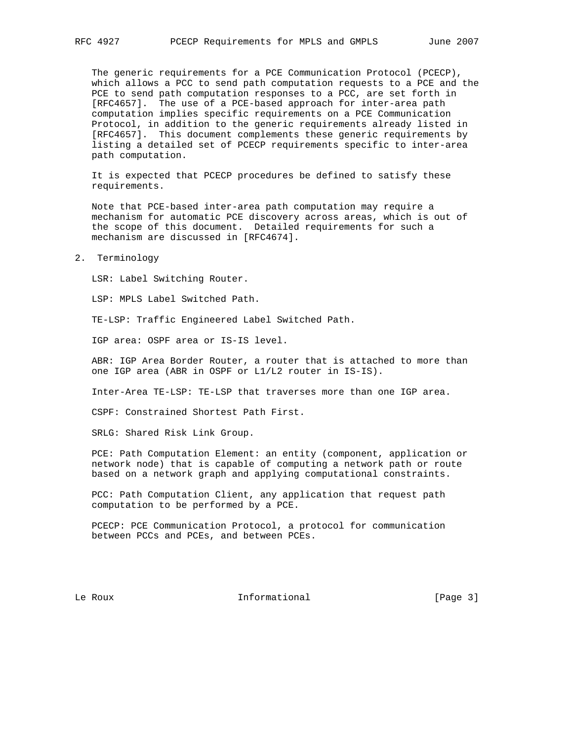The generic requirements for a PCE Communication Protocol (PCECP), which allows a PCC to send path computation requests to a PCE and the PCE to send path computation responses to a PCC, are set forth in [RFC4657]. The use of a PCE-based approach for inter-area path computation implies specific requirements on a PCE Communication Protocol, in addition to the generic requirements already listed in [RFC4657]. This document complements these generic requirements by listing a detailed set of PCECP requirements specific to inter-area path computation.

 It is expected that PCECP procedures be defined to satisfy these requirements.

 Note that PCE-based inter-area path computation may require a mechanism for automatic PCE discovery across areas, which is out of the scope of this document. Detailed requirements for such a mechanism are discussed in [RFC4674].

2. Terminology

LSR: Label Switching Router.

LSP: MPLS Label Switched Path.

TE-LSP: Traffic Engineered Label Switched Path.

IGP area: OSPF area or IS-IS level.

 ABR: IGP Area Border Router, a router that is attached to more than one IGP area (ABR in OSPF or L1/L2 router in IS-IS).

Inter-Area TE-LSP: TE-LSP that traverses more than one IGP area.

CSPF: Constrained Shortest Path First.

SRLG: Shared Risk Link Group.

 PCE: Path Computation Element: an entity (component, application or network node) that is capable of computing a network path or route based on a network graph and applying computational constraints.

 PCC: Path Computation Client, any application that request path computation to be performed by a PCE.

 PCECP: PCE Communication Protocol, a protocol for communication between PCCs and PCEs, and between PCEs.

Le Roux **Informational** [Page 3]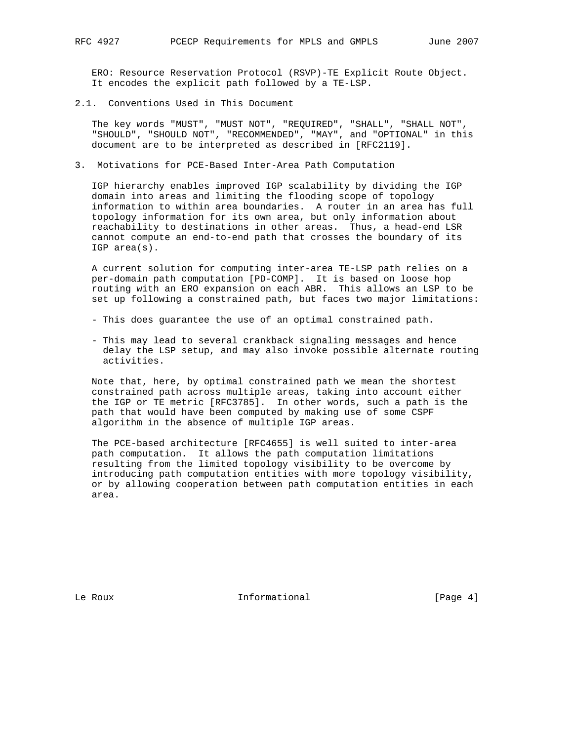ERO: Resource Reservation Protocol (RSVP)-TE Explicit Route Object. It encodes the explicit path followed by a TE-LSP.

2.1. Conventions Used in This Document

 The key words "MUST", "MUST NOT", "REQUIRED", "SHALL", "SHALL NOT", "SHOULD", "SHOULD NOT", "RECOMMENDED", "MAY", and "OPTIONAL" in this document are to be interpreted as described in [RFC2119].

3. Motivations for PCE-Based Inter-Area Path Computation

 IGP hierarchy enables improved IGP scalability by dividing the IGP domain into areas and limiting the flooding scope of topology information to within area boundaries. A router in an area has full topology information for its own area, but only information about reachability to destinations in other areas. Thus, a head-end LSR cannot compute an end-to-end path that crosses the boundary of its IGP area(s).

 A current solution for computing inter-area TE-LSP path relies on a per-domain path computation [PD-COMP]. It is based on loose hop routing with an ERO expansion on each ABR. This allows an LSP to be set up following a constrained path, but faces two major limitations:

- This does guarantee the use of an optimal constrained path.
- This may lead to several crankback signaling messages and hence delay the LSP setup, and may also invoke possible alternate routing activities.

 Note that, here, by optimal constrained path we mean the shortest constrained path across multiple areas, taking into account either the IGP or TE metric [RFC3785]. In other words, such a path is the path that would have been computed by making use of some CSPF algorithm in the absence of multiple IGP areas.

 The PCE-based architecture [RFC4655] is well suited to inter-area path computation. It allows the path computation limitations resulting from the limited topology visibility to be overcome by introducing path computation entities with more topology visibility, or by allowing cooperation between path computation entities in each area.

Le Roux **Informational** [Page 4]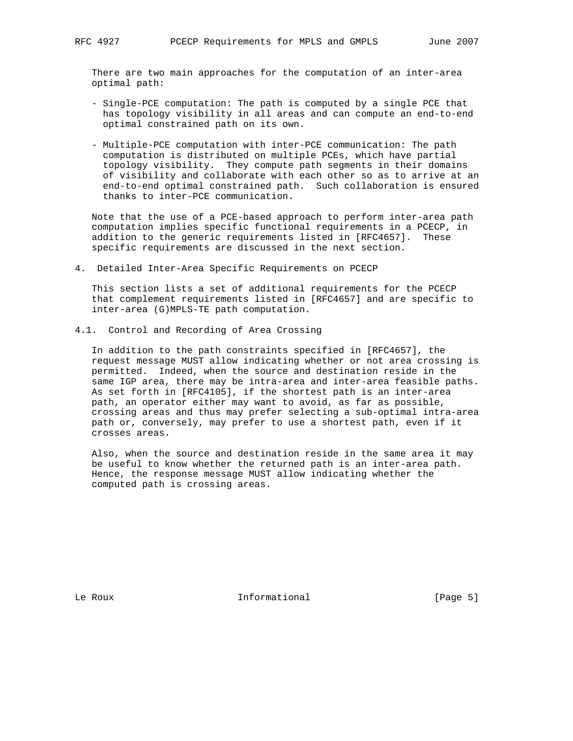There are two main approaches for the computation of an inter-area optimal path:

- Single-PCE computation: The path is computed by a single PCE that has topology visibility in all areas and can compute an end-to-end optimal constrained path on its own.
- Multiple-PCE computation with inter-PCE communication: The path computation is distributed on multiple PCEs, which have partial topology visibility. They compute path segments in their domains of visibility and collaborate with each other so as to arrive at an end-to-end optimal constrained path. Such collaboration is ensured thanks to inter-PCE communication.

 Note that the use of a PCE-based approach to perform inter-area path computation implies specific functional requirements in a PCECP, in addition to the generic requirements listed in [RFC4657]. These specific requirements are discussed in the next section.

4. Detailed Inter-Area Specific Requirements on PCECP

 This section lists a set of additional requirements for the PCECP that complement requirements listed in [RFC4657] and are specific to inter-area (G)MPLS-TE path computation.

4.1. Control and Recording of Area Crossing

 In addition to the path constraints specified in [RFC4657], the request message MUST allow indicating whether or not area crossing is permitted. Indeed, when the source and destination reside in the same IGP area, there may be intra-area and inter-area feasible paths. As set forth in [RFC4105], if the shortest path is an inter-area path, an operator either may want to avoid, as far as possible, crossing areas and thus may prefer selecting a sub-optimal intra-area path or, conversely, may prefer to use a shortest path, even if it crosses areas.

 Also, when the source and destination reside in the same area it may be useful to know whether the returned path is an inter-area path. Hence, the response message MUST allow indicating whether the computed path is crossing areas.

Le Roux **Informational** [Page 5]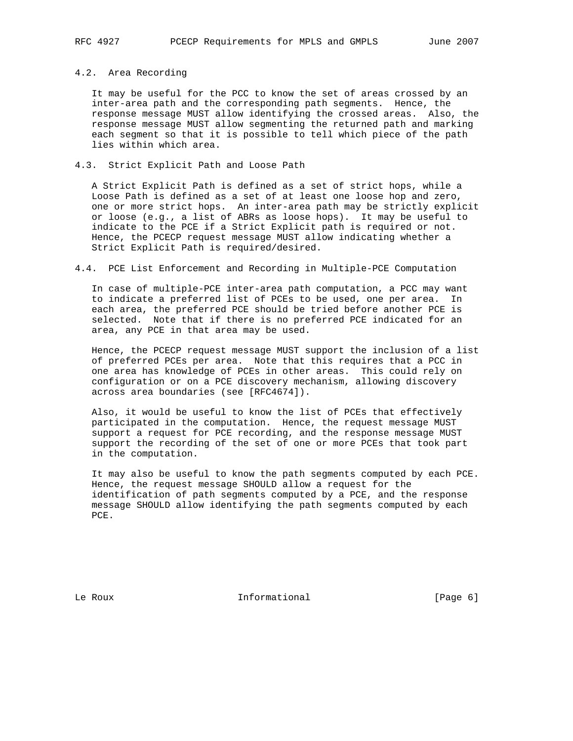# 4.2. Area Recording

 It may be useful for the PCC to know the set of areas crossed by an inter-area path and the corresponding path segments. Hence, the response message MUST allow identifying the crossed areas. Also, the response message MUST allow segmenting the returned path and marking each segment so that it is possible to tell which piece of the path lies within which area.

# 4.3. Strict Explicit Path and Loose Path

 A Strict Explicit Path is defined as a set of strict hops, while a Loose Path is defined as a set of at least one loose hop and zero, one or more strict hops. An inter-area path may be strictly explicit or loose (e.g., a list of ABRs as loose hops). It may be useful to indicate to the PCE if a Strict Explicit path is required or not. Hence, the PCECP request message MUST allow indicating whether a Strict Explicit Path is required/desired.

### 4.4. PCE List Enforcement and Recording in Multiple-PCE Computation

 In case of multiple-PCE inter-area path computation, a PCC may want to indicate a preferred list of PCEs to be used, one per area. In each area, the preferred PCE should be tried before another PCE is selected. Note that if there is no preferred PCE indicated for an area, any PCE in that area may be used.

 Hence, the PCECP request message MUST support the inclusion of a list of preferred PCEs per area. Note that this requires that a PCC in one area has knowledge of PCEs in other areas. This could rely on configuration or on a PCE discovery mechanism, allowing discovery across area boundaries (see [RFC4674]).

 Also, it would be useful to know the list of PCEs that effectively participated in the computation. Hence, the request message MUST support a request for PCE recording, and the response message MUST support the recording of the set of one or more PCEs that took part in the computation.

 It may also be useful to know the path segments computed by each PCE. Hence, the request message SHOULD allow a request for the identification of path segments computed by a PCE, and the response message SHOULD allow identifying the path segments computed by each PCE.

Le Roux **Informational** [Page 6]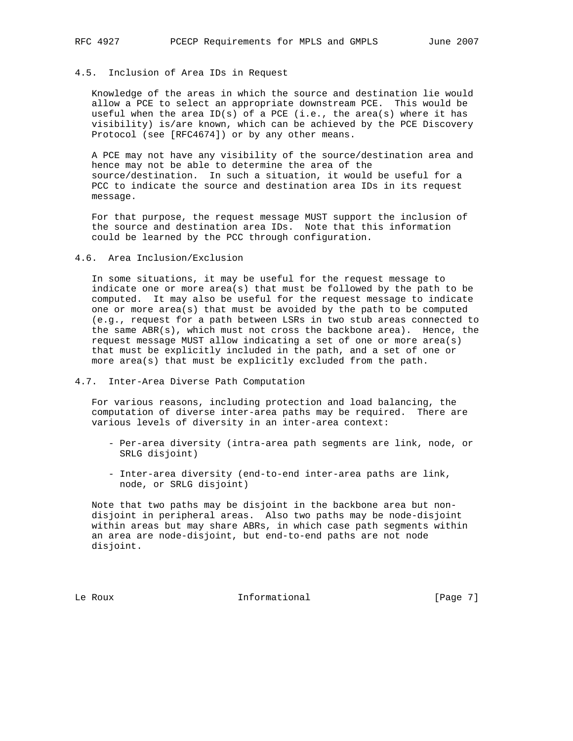# 4.5. Inclusion of Area IDs in Request

 Knowledge of the areas in which the source and destination lie would allow a PCE to select an appropriate downstream PCE. This would be useful when the area ID(s) of a PCE (i.e., the area(s) where it has visibility) is/are known, which can be achieved by the PCE Discovery Protocol (see [RFC4674]) or by any other means.

 A PCE may not have any visibility of the source/destination area and hence may not be able to determine the area of the source/destination. In such a situation, it would be useful for a PCC to indicate the source and destination area IDs in its request message.

 For that purpose, the request message MUST support the inclusion of the source and destination area IDs. Note that this information could be learned by the PCC through configuration.

4.6. Area Inclusion/Exclusion

 In some situations, it may be useful for the request message to indicate one or more area(s) that must be followed by the path to be computed. It may also be useful for the request message to indicate one or more area(s) that must be avoided by the path to be computed (e.g., request for a path between LSRs in two stub areas connected to the same ABR(s), which must not cross the backbone area). Hence, the request message MUST allow indicating a set of one or more area(s) that must be explicitly included in the path, and a set of one or more area(s) that must be explicitly excluded from the path.

### 4.7. Inter-Area Diverse Path Computation

 For various reasons, including protection and load balancing, the computation of diverse inter-area paths may be required. There are various levels of diversity in an inter-area context:

- Per-area diversity (intra-area path segments are link, node, or SRLG disjoint)
- Inter-area diversity (end-to-end inter-area paths are link, node, or SRLG disjoint)

 Note that two paths may be disjoint in the backbone area but non disjoint in peripheral areas. Also two paths may be node-disjoint within areas but may share ABRs, in which case path segments within an area are node-disjoint, but end-to-end paths are not node disjoint.

Le Roux **Informational** [Page 7]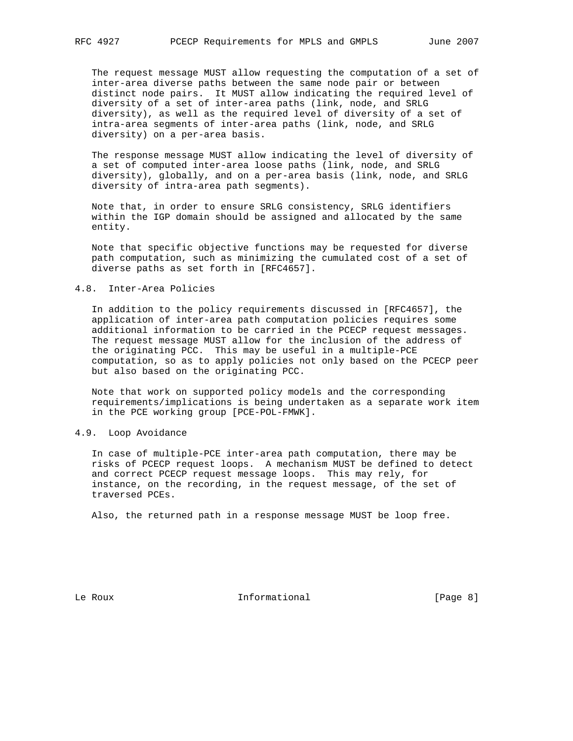The request message MUST allow requesting the computation of a set of inter-area diverse paths between the same node pair or between distinct node pairs. It MUST allow indicating the required level of diversity of a set of inter-area paths (link, node, and SRLG diversity), as well as the required level of diversity of a set of intra-area segments of inter-area paths (link, node, and SRLG diversity) on a per-area basis.

 The response message MUST allow indicating the level of diversity of a set of computed inter-area loose paths (link, node, and SRLG diversity), globally, and on a per-area basis (link, node, and SRLG diversity of intra-area path segments).

 Note that, in order to ensure SRLG consistency, SRLG identifiers within the IGP domain should be assigned and allocated by the same entity.

 Note that specific objective functions may be requested for diverse path computation, such as minimizing the cumulated cost of a set of diverse paths as set forth in [RFC4657].

### 4.8. Inter-Area Policies

 In addition to the policy requirements discussed in [RFC4657], the application of inter-area path computation policies requires some additional information to be carried in the PCECP request messages. The request message MUST allow for the inclusion of the address of the originating PCC. This may be useful in a multiple-PCE computation, so as to apply policies not only based on the PCECP peer but also based on the originating PCC.

 Note that work on supported policy models and the corresponding requirements/implications is being undertaken as a separate work item in the PCE working group [PCE-POL-FMWK].

#### 4.9. Loop Avoidance

 In case of multiple-PCE inter-area path computation, there may be risks of PCECP request loops. A mechanism MUST be defined to detect and correct PCECP request message loops. This may rely, for instance, on the recording, in the request message, of the set of traversed PCEs.

Also, the returned path in a response message MUST be loop free.

Le Roux **Informational** [Page 8]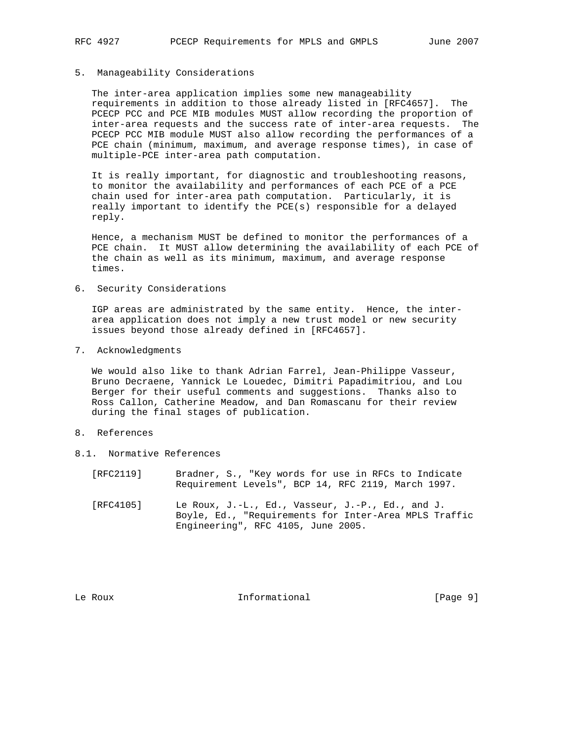### 5. Manageability Considerations

 The inter-area application implies some new manageability requirements in addition to those already listed in [RFC4657]. The PCECP PCC and PCE MIB modules MUST allow recording the proportion of inter-area requests and the success rate of inter-area requests. The PCECP PCC MIB module MUST also allow recording the performances of a PCE chain (minimum, maximum, and average response times), in case of multiple-PCE inter-area path computation.

 It is really important, for diagnostic and troubleshooting reasons, to monitor the availability and performances of each PCE of a PCE chain used for inter-area path computation. Particularly, it is really important to identify the PCE(s) responsible for a delayed reply.

 Hence, a mechanism MUST be defined to monitor the performances of a PCE chain. It MUST allow determining the availability of each PCE of the chain as well as its minimum, maximum, and average response times.

6. Security Considerations

 IGP areas are administrated by the same entity. Hence, the inter area application does not imply a new trust model or new security issues beyond those already defined in [RFC4657].

7. Acknowledgments

 We would also like to thank Adrian Farrel, Jean-Philippe Vasseur, Bruno Decraene, Yannick Le Louedec, Dimitri Papadimitriou, and Lou Berger for their useful comments and suggestions. Thanks also to Ross Callon, Catherine Meadow, and Dan Romascanu for their review during the final stages of publication.

- 8. References
- 8.1. Normative References
	- [RFC2119] Bradner, S., "Key words for use in RFCs to Indicate Requirement Levels", BCP 14, RFC 2119, March 1997.
	- [RFC4105] Le Roux, J.-L., Ed., Vasseur, J.-P., Ed., and J. Boyle, Ed., "Requirements for Inter-Area MPLS Traffic Engineering", RFC 4105, June 2005.

Le Roux **Informational** [Page 9]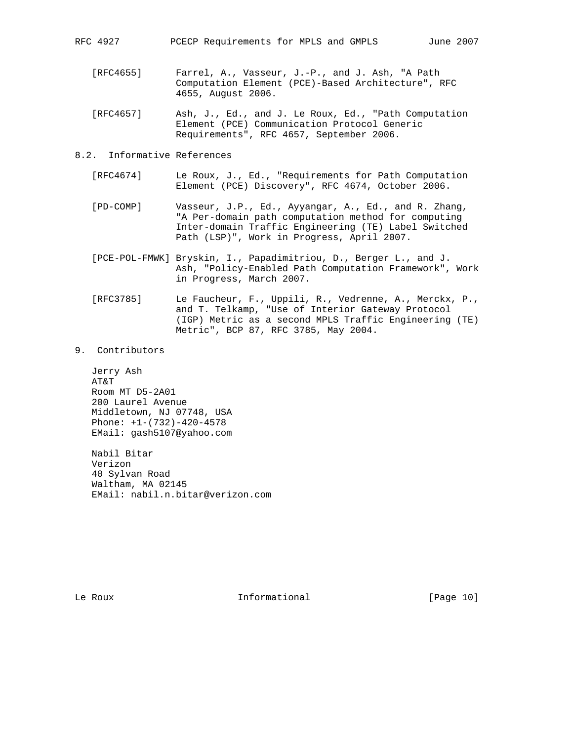- [RFC4655] Farrel, A., Vasseur, J.-P., and J. Ash, "A Path Computation Element (PCE)-Based Architecture", RFC 4655, August 2006.
- [RFC4657] Ash, J., Ed., and J. Le Roux, Ed., "Path Computation Element (PCE) Communication Protocol Generic Requirements", RFC 4657, September 2006.
- 8.2. Informative References
	- [RFC4674] Le Roux, J., Ed., "Requirements for Path Computation Element (PCE) Discovery", RFC 4674, October 2006.
	- [PD-COMP] Vasseur, J.P., Ed., Ayyangar, A., Ed., and R. Zhang, "A Per-domain path computation method for computing Inter-domain Traffic Engineering (TE) Label Switched Path (LSP)", Work in Progress, April 2007.
	- [PCE-POL-FMWK] Bryskin, I., Papadimitriou, D., Berger L., and J. Ash, "Policy-Enabled Path Computation Framework", Work in Progress, March 2007.
	- [RFC3785] Le Faucheur, F., Uppili, R., Vedrenne, A., Merckx, P., and T. Telkamp, "Use of Interior Gateway Protocol (IGP) Metric as a second MPLS Traffic Engineering (TE) Metric", BCP 87, RFC 3785, May 2004.
- 9. Contributors

 Jerry Ash AT&T Room MT D5-2A01 200 Laurel Avenue Middletown, NJ 07748, USA Phone: +1-(732)-420-4578 EMail: gash5107@yahoo.com

 Nabil Bitar Verizon 40 Sylvan Road Waltham, MA 02145 EMail: nabil.n.bitar@verizon.com

Le Roux **Informational** [Page 10]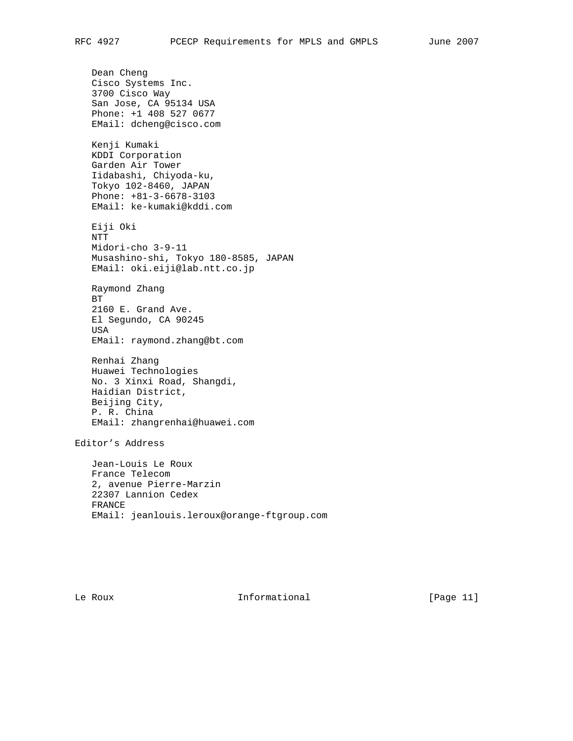Dean Cheng Cisco Systems Inc. 3700 Cisco Way San Jose, CA 95134 USA Phone: +1 408 527 0677 EMail: dcheng@cisco.com Kenji Kumaki KDDI Corporation Garden Air Tower Iidabashi, Chiyoda-ku, Tokyo 102-8460, JAPAN Phone: +81-3-6678-3103 EMail: ke-kumaki@kddi.com Eiji Oki NTT Midori-cho 3-9-11 Musashino-shi, Tokyo 180-8585, JAPAN EMail: oki.eiji@lab.ntt.co.jp Raymond Zhang BT 2160 E. Grand Ave. El Segundo, CA 90245 USA EMail: raymond.zhang@bt.com Renhai Zhang Huawei Technologies No. 3 Xinxi Road, Shangdi, Haidian District, Beijing City, P. R. China EMail: zhangrenhai@huawei.com Editor's Address Jean-Louis Le Roux France Telecom 2, avenue Pierre-Marzin 22307 Lannion Cedex FRANCE

EMail: jeanlouis.leroux@orange-ftgroup.com

Le Roux **Informational** [Page 11]